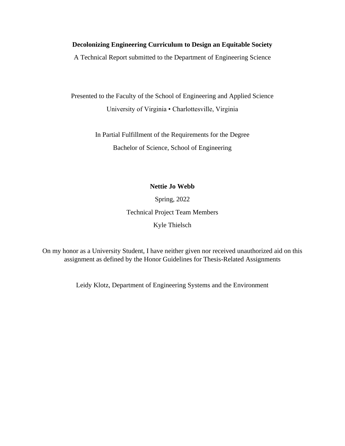## **Decolonizing Engineering Curriculum to Design an Equitable Society**

A Technical Report submitted to the Department of Engineering Science

Presented to the Faculty of the School of Engineering and Applied Science University of Virginia • Charlottesville, Virginia

> In Partial Fulfillment of the Requirements for the Degree Bachelor of Science, School of Engineering

### **Nettie Jo Webb**

Spring, 2022 Technical Project Team Members Kyle Thielsch

On my honor as a University Student, I have neither given nor received unauthorized aid on this assignment as defined by the Honor Guidelines for Thesis-Related Assignments

Leidy Klotz, Department of Engineering Systems and the Environment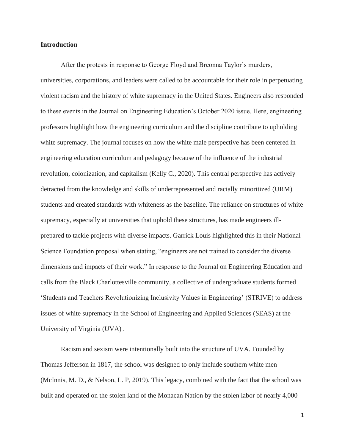### **Introduction**

After the protests in response to George Floyd and Breonna Taylor's murders, universities, corporations, and leaders were called to be accountable for their role in perpetuating violent racism and the history of white supremacy in the United States. Engineers also responded to these events in the Journal on Engineering Education's October 2020 issue. Here, engineering professors highlight how the engineering curriculum and the discipline contribute to upholding white supremacy. The journal focuses on how the white male perspective has been centered in engineering education curriculum and pedagogy because of the influence of the industrial revolution, colonization, and capitalism (Kelly C., 2020). This central perspective has actively detracted from the knowledge and skills of underrepresented and racially minoritized (URM) students and created standards with whiteness as the baseline. The reliance on structures of white supremacy, especially at universities that uphold these structures, has made engineers illprepared to tackle projects with diverse impacts. Garrick Louis highlighted this in their National Science Foundation proposal when stating, "engineers are not trained to consider the diverse dimensions and impacts of their work." In response to the Journal on Engineering Education and calls from the Black Charlottesville community, a collective of undergraduate students formed 'Students and Teachers Revolutionizing Inclusivity Values in Engineering' (STRIVE) to address issues of white supremacy in the School of Engineering and Applied Sciences (SEAS) at the University of Virginia (UVA) .

Racism and sexism were intentionally built into the structure of UVA. Founded by Thomas Jefferson in 1817, the school was designed to only include southern white men (McInnis, M. D., & Nelson, L. P, 2019). This legacy, combined with the fact that the school was built and operated on the stolen land of the Monacan Nation by the stolen labor of nearly 4,000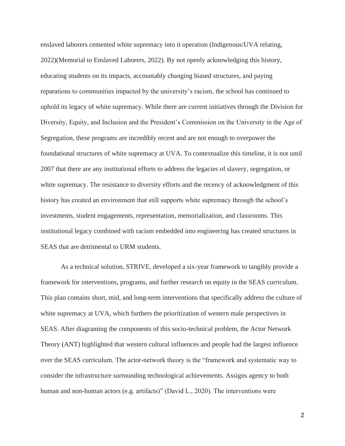enslaved laborers cemented white supremacy into it operation (Indigenous/UVA relating, 2022)(Memorial to Enslaved Laborers, 2022). By not openly acknowledging this history, educating students on its impacts, accountably changing biased structures, and paying reparations to communities impacted by the university's racism, the school has continued to uphold its legacy of white supremacy. While there are current initiatives through the Division for Diversity, Equity, and Inclusion and the President's Commission on the University in the Age of Segregation, these programs are incredibly recent and are not enough to overpower the foundational structures of white supremacy at UVA. To contextualize this timeline, it is not until 2007 that there are any institutional efforts to address the legacies of slavery, segregation, or white supremacy. The resistance to diversity efforts and the recency of acknowledgment of this history has created an environment that still supports white supremacy through the school's investments, student engagements, representation, memorialization, and classrooms. This institutional legacy combined with racism embedded into engineering has created structures in SEAS that are detrimental to URM students.

As a technical solution, STRIVE, developed a six-year framework to tangibly provide a framework for interventions, programs, and further research on equity in the SEAS curriculum. This plan contains short, mid, and long-term interventions that specifically address the culture of white supremacy at UVA, which furthers the prioritization of western male perspectives in SEAS. After diagraming the components of this socio-technical problem, the Actor Network Theory (ANT) highlighted that western cultural influences and people had the largest influence over the SEAS curriculum. The actor-network theory is the "framework and systematic way to consider the infrastructure surrounding technological achievements. Assigns agency to both human and non-human actors (e.g. artifacts)" (David L., 2020). The interventions were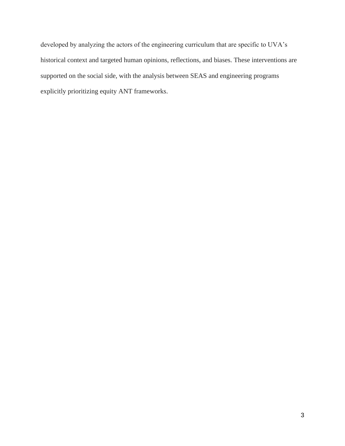developed by analyzing the actors of the engineering curriculum that are specific to UVA's historical context and targeted human opinions, reflections, and biases. These interventions are supported on the social side, with the analysis between SEAS and engineering programs explicitly prioritizing equity ANT frameworks.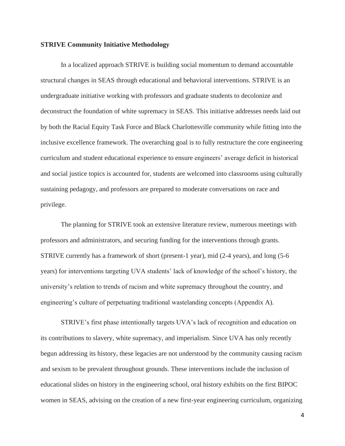#### **STRIVE Community Initiative Methodology**

In a localized approach STRIVE is building social momentum to demand accountable structural changes in SEAS through educational and behavioral interventions. STRIVE is an undergraduate initiative working with professors and graduate students to decolonize and deconstruct the foundation of white supremacy in SEAS. This initiative addresses needs laid out by both the Racial Equity Task Force and Black Charlottesville community while fitting into the inclusive excellence framework. The overarching goal is to fully restructure the core engineering curriculum and student educational experience to ensure engineers' average deficit in historical and social justice topics is accounted for, students are welcomed into classrooms using culturally sustaining pedagogy, and professors are prepared to moderate conversations on race and privilege.

The planning for STRIVE took an extensive literature review, numerous meetings with professors and administrators, and securing funding for the interventions through grants. STRIVE currently has a framework of short (present-1 year), mid (2-4 years), and long (5-6 years) for interventions targeting UVA students' lack of knowledge of the school's history, the university's relation to trends of racism and white supremacy throughout the country, and engineering's culture of perpetuating traditional wastelanding concepts (Appendix A).

STRIVE's first phase intentionally targets UVA's lack of recognition and education on its contributions to slavery, white supremacy, and imperialism. Since UVA has only recently begun addressing its history, these legacies are not understood by the community causing racism and sexism to be prevalent throughout grounds. These interventions include the inclusion of educational slides on history in the engineering school, oral history exhibits on the first BIPOC women in SEAS, advising on the creation of a new first-year engineering curriculum, organizing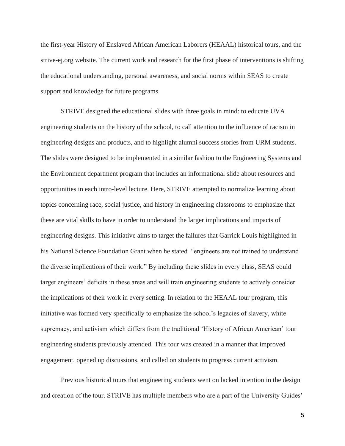the first-year History of Enslaved African American Laborers (HEAAL) historical tours, and the strive-ej.org website. The current work and research for the first phase of interventions is shifting the educational understanding, personal awareness, and social norms within SEAS to create support and knowledge for future programs.

STRIVE designed the educational slides with three goals in mind: to educate UVA engineering students on the history of the school, to call attention to the influence of racism in engineering designs and products, and to highlight alumni success stories from URM students. The slides were designed to be implemented in a similar fashion to the Engineering Systems and the Environment department program that includes an informational slide about resources and opportunities in each intro-level lecture. Here, STRIVE attempted to normalize learning about topics concerning race, social justice, and history in engineering classrooms to emphasize that these are vital skills to have in order to understand the larger implications and impacts of engineering designs. This initiative aims to target the failures that Garrick Louis highlighted in his National Science Foundation Grant when he stated "engineers are not trained to understand the diverse implications of their work." By including these slides in every class, SEAS could target engineers' deficits in these areas and will train engineering students to actively consider the implications of their work in every setting. In relation to the HEAAL tour program, this initiative was formed very specifically to emphasize the school's legacies of slavery, white supremacy, and activism which differs from the traditional 'History of African American' tour engineering students previously attended. This tour was created in a manner that improved engagement, opened up discussions, and called on students to progress current activism.

Previous historical tours that engineering students went on lacked intention in the design and creation of the tour. STRIVE has multiple members who are a part of the University Guides'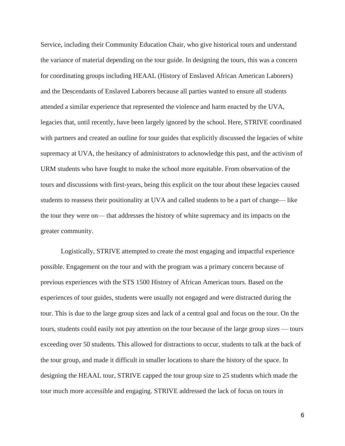Service, including their Community Education Chair, who give historical tours and understand the variance of material depending on the tour guide. In designing the tours, this was a concern for coordinating groups including HEAAL (History of Enslaved African American Laborers) and the Descendants of Enslaved Laborers because all parties wanted to ensure all students attended a similar experience that represented the violence and harm enacted by the UVA, legacies that, until recently, have been largely ignored by the school. Here, STRIVE coordinated with partners and created an outline for tour guides that explicitly discussed the legacies of white supremacy at UVA, the hesitancy of administrators to acknowledge this past, and the activism of URM students who have fought to make the school more equitable. From observation of the tours and discussions with first-years, being this explicit on the tour about these legacies caused students to reassess their positionality at UVA and called students to be a part of change— like the tour they were on— that addresses the history of white supremacy and its impacts on the greater community.

Logistically, STRIVE attempted to create the most engaging and impactful experience possible. Engagement on the tour and with the program was a primary concern because of previous experiences with the STS 1500 History of African American tours. Based on the experiences of tour guides, students were usually not engaged and were distracted during the tour. This is due to the large group sizes and lack of a central goal and focus on the tour. On the tours, students could easily not pay attention on the tour because of the large group sizes — tours exceeding over 50 students. This allowed for distractions to occur, students to talk at the back of the tour group, and made it difficult in smaller locations to share the history of the space. In designing the HEAAL tour, STRIVE capped the tour group size to 25 students which made the tour much more accessible and engaging. STRIVE addressed the lack of focus on tours in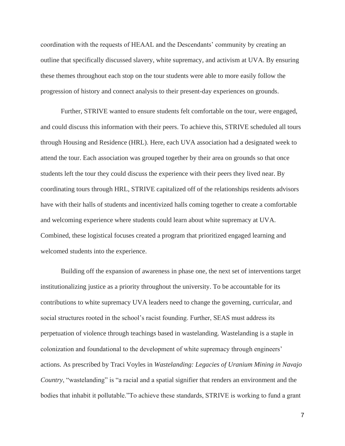coordination with the requests of HEAAL and the Descendants' community by creating an outline that specifically discussed slavery, white supremacy, and activism at UVA. By ensuring these themes throughout each stop on the tour students were able to more easily follow the progression of history and connect analysis to their present-day experiences on grounds.

Further, STRIVE wanted to ensure students felt comfortable on the tour, were engaged, and could discuss this information with their peers. To achieve this, STRIVE scheduled all tours through Housing and Residence (HRL). Here, each UVA association had a designated week to attend the tour. Each association was grouped together by their area on grounds so that once students left the tour they could discuss the experience with their peers they lived near. By coordinating tours through HRL, STRIVE capitalized off of the relationships residents advisors have with their halls of students and incentivized halls coming together to create a comfortable and welcoming experience where students could learn about white supremacy at UVA. Combined, these logistical focuses created a program that prioritized engaged learning and welcomed students into the experience.

Building off the expansion of awareness in phase one, the next set of interventions target institutionalizing justice as a priority throughout the university. To be accountable for its contributions to white supremacy UVA leaders need to change the governing, curricular, and social structures rooted in the school's racist founding. Further, SEAS must address its perpetuation of violence through teachings based in wastelanding. Wastelanding is a staple in colonization and foundational to the development of white supremacy through engineers' actions. As prescribed by Traci Voyles in *Wastelanding: Legacies of Uranium Mining in Navajo Country*, "wastelanding" is "a racial and a spatial signifier that renders an environment and the bodies that inhabit it pollutable."To achieve these standards, STRIVE is working to fund a grant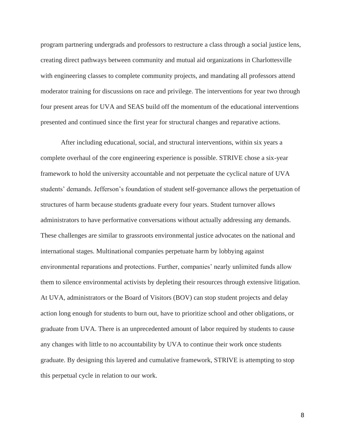program partnering undergrads and professors to restructure a class through a social justice lens, creating direct pathways between community and mutual aid organizations in Charlottesville with engineering classes to complete community projects, and mandating all professors attend moderator training for discussions on race and privilege. The interventions for year two through four present areas for UVA and SEAS build off the momentum of the educational interventions presented and continued since the first year for structural changes and reparative actions.

After including educational, social, and structural interventions, within six years a complete overhaul of the core engineering experience is possible. STRIVE chose a six-year framework to hold the university accountable and not perpetuate the cyclical nature of UVA students' demands. Jefferson's foundation of student self-governance allows the perpetuation of structures of harm because students graduate every four years. Student turnover allows administrators to have performative conversations without actually addressing any demands. These challenges are similar to grassroots environmental justice advocates on the national and international stages. Multinational companies perpetuate harm by lobbying against environmental reparations and protections. Further, companies' nearly unlimited funds allow them to silence environmental activists by depleting their resources through extensive litigation. At UVA, administrators or the Board of Visitors (BOV) can stop student projects and delay action long enough for students to burn out, have to prioritize school and other obligations, or graduate from UVA. There is an unprecedented amount of labor required by students to cause any changes with little to no accountability by UVA to continue their work once students graduate. By designing this layered and cumulative framework, STRIVE is attempting to stop this perpetual cycle in relation to our work.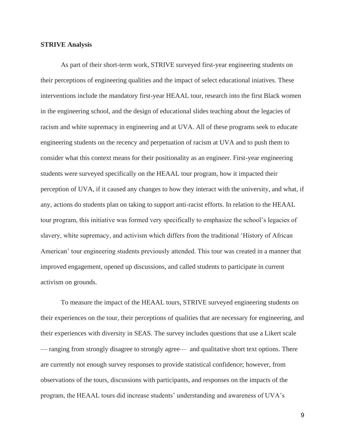### **STRIVE Analysis**

As part of their short-term work, STRIVE surveyed first-year engineering students on their perceptions of engineering qualities and the impact of select educational iniatives. These interventions include the mandatory first-year HEAAL tour, research into the first Black women in the engineering school, and the design of educational slides teaching about the legacies of racism and white supremacy in engineering and at UVA. All of these programs seek to educate engineering students on the recency and perpetuation of racism at UVA and to push them to consider what this context means for their positionality as an engineer. First-year engineering students were surveyed specifically on the HEAAL tour program, how it impacted their perception of UVA, if it caused any changes to how they interact with the university, and what, if any, actions do students plan on taking to support anti-racist efforts. In relation to the HEAAL tour program, this initiative was formed very specifically to emphasize the school's legacies of slavery, white supremacy, and activism which differs from the traditional 'History of African American' tour engineering students previously attended. This tour was created in a manner that improved engagement, opened up discussions, and called students to participate in current activism on grounds.

To measure the impact of the HEAAL tours, STRIVE surveyed engineering students on their experiences on the tour, their perceptions of qualities that are necessary for engineering, and their experiences with diversity in SEAS. The survey includes questions that use a Likert scale — ranging from strongly disagree to strongly agree— and qualitative short text options. There are currently not enough survey responses to provide statistical confidence; however, from observations of the tours, discussions with participants, and responses on the impacts of the program, the HEAAL tours did increase students' understanding and awareness of UVA's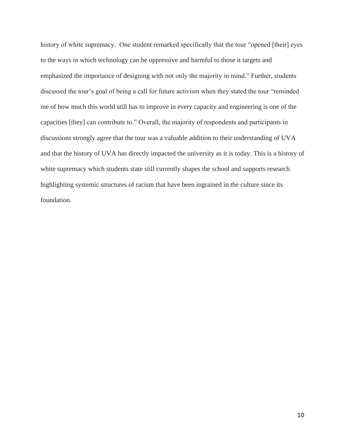history of white supremacy. One student remarked specifically that the tour "opened [their] eyes to the ways in which technology can be oppressive and harmful to those it targets and emphasized the importance of designing with not only the majority in mind." Further, students discussed the tour's goal of being a call for future activism when they stated the tour "reminded me of how much this world still has to improve in every capacity and engineering is one of the capacities [they] can contribute to." Overall, the majority of respondents and participants in discussions strongly agree that the tour was a valuable addition to their understanding of UVA and that the history of UVA has directly impacted the university as it is today. This is a history of white supremacy which students state still currently shapes the school and supports research highlighting systemic structures of racism that have been ingrained in the culture since its foundation.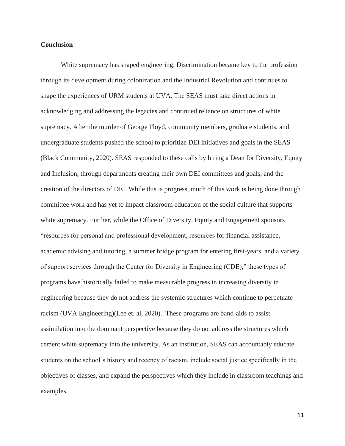### **Conclusion**

White supremacy has shaped engineering. Discrimination became key to the profession through its development during colonization and the Industrial Revolution and continues to shape the experiences of URM students at UVA. The SEAS must take direct actions in acknowledging and addressing the legacies and continued reliance on structures of white supremacy. After the murder of George Floyd, community members, graduate students, and undergraduate students pushed the school to prioritize DEI initiatives and goals in the SEAS (Black Community, 2020). SEAS responded to these calls by hiring a Dean for Diversity, Equity and Inclusion, through departments creating their own DEI committees and goals, and the creation of the directors of DEI. While this is progress, much of this work is being done through committee work and has yet to impact classroom education of the social culture that supports white supremacy. Further, while the Office of Diversity, Equity and Engagement sponsors "resources for personal and professional development, resources for financial assistance, academic advising and tutoring, a summer bridge program for entering first-years, and a variety of support services through the Center for Diversity in Engineering (CDE)," these types of programs have historically failed to make measurable progress in increasing diversity in engineering because they do not address the systemic structures which continue to perpetuate racism (UVA Engineering)(Lee et. al, 2020). These programs are band-aids to assist assimilation into the dominant perspective because they do not address the structures which cement white supremacy into the university. As an institution, SEAS can accountably educate students on the school's history and recency of racism, include social justice specifically in the objectives of classes, and expand the perspectives which they include in classroom teachings and examples.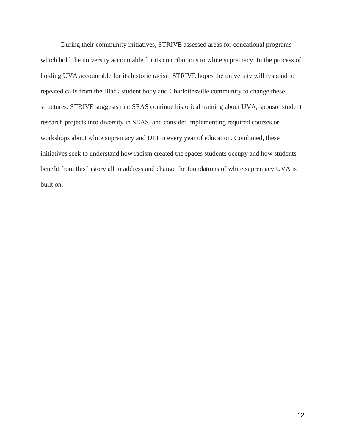During their community initiatives, STRIVE assessed areas for educational programs which hold the university accountable for its contributions to white supremacy. In the process of holding UVA accountable for its historic racism STRIVE hopes the university will respond to repeated calls from the Black student body and Charlottesville community to change these structures. STRIVE suggests that SEAS continue historical training about UVA, sponsor student research projects into diversity in SEAS, and consider implementing required courses or workshops about white supremacy and DEI in every year of education. Combined, these initiatives seek to understand how racism created the spaces students occupy and how students benefit from this history all to address and change the foundations of white supremacy UVA is built on.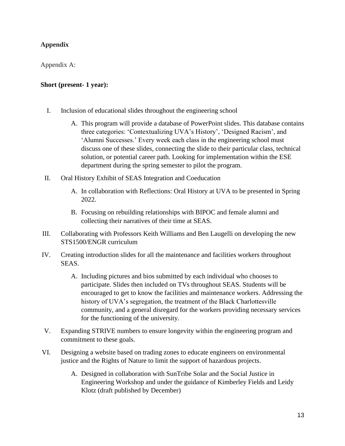# **Appendix**

Appendix A:

## **Short (present- 1 year):**

- I. Inclusion of educational slides throughout the engineering school
	- A. This program will provide a database of PowerPoint slides. This database contains three categories: 'Contextualizing UVA's History', 'Designed Racism', and 'Alumni Successes.' Every week each class in the engineering school must discuss one of these slides, connecting the slide to their particular class, technical solution, or potential career path. Looking for implementation within the ESE department during the spring semester to pilot the program.
- II. Oral History Exhibit of SEAS Integration and Coeducation
	- A. In collaboration with Reflections: Oral History at UVA to be presented in Spring 2022.
	- B. Focusing on rebuilding relationships with BIPOC and female alumni and collecting their narratives of their time at SEAS.
- III. Collaborating with Professors Keith Williams and Ben Laugelli on developing the new STS1500/ENGR curriculum
- IV. Creating introduction slides for all the maintenance and facilities workers throughout SEAS.
	- A. Including pictures and bios submitted by each individual who chooses to participate. Slides then included on TVs throughout SEAS. Students will be encouraged to get to know the facilities and maintenance workers. Addressing the history of UVA's segregation, the treatment of the Black Charlottesville community, and a general disregard for the workers providing necessary services for the functioning of the university.
- V. Expanding STRIVE numbers to ensure longevity within the engineering program and commitment to these goals.
- VI. Designing a website based on trading zones to educate engineers on environmental justice and the Rights of Nature to limit the support of hazardous projects.
	- A. Designed in collaboration with SunTribe Solar and the Social Justice in Engineering Workshop and under the guidance of Kimberley Fields and Leidy Klotz (draft published by December)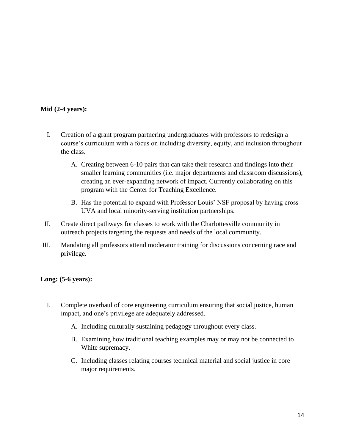## **Mid (2-4 years):**

- I. Creation of a grant program partnering undergraduates with professors to redesign a course's curriculum with a focus on including diversity, equity, and inclusion throughout the class.
	- A. Creating between 6-10 pairs that can take their research and findings into their smaller learning communities (i.e. major departments and classroom discussions), creating an ever-expanding network of impact. Currently collaborating on this program with the Center for Teaching Excellence.
	- B. Has the potential to expand with Professor Louis' NSF proposal by having cross UVA and local minority-serving institution partnerships.
- II. Create direct pathways for classes to work with the Charlottesville community in outreach projects targeting the requests and needs of the local community.
- III. Mandating all professors attend moderator training for discussions concerning race and privilege.

## **Long: (5-6 years):**

- I. Complete overhaul of core engineering curriculum ensuring that social justice, human impact, and one's privilege are adequately addressed.
	- A. Including culturally sustaining pedagogy throughout every class.
	- B. Examining how traditional teaching examples may or may not be connected to White supremacy.
	- C. Including classes relating courses technical material and social justice in core major requirements.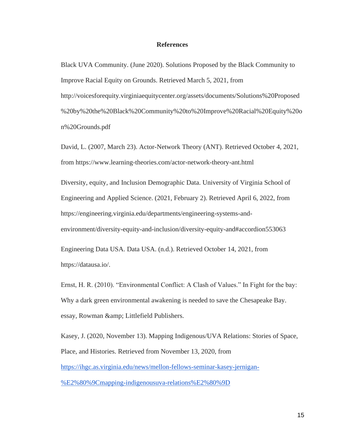### **References**

Black UVA Community. (June 2020). Solutions Proposed by the Black Community to Improve Racial Equity on Grounds. Retrieved March 5, 2021, from http://voicesforequity.virginiaequitycenter.org/assets/documents/Solutions%20Proposed %20by%20the%20Black%20Community%20to%20Improve%20Racial%20Equity%20o n%20Grounds.pdf

David, L. (2007, March 23). Actor-Network Theory (ANT). Retrieved October 4, 2021, from https://www.learning-theories.com/actor-network-theory-ant.html

Diversity, equity, and Inclusion Demographic Data. University of Virginia School of Engineering and Applied Science. (2021, February 2). Retrieved April 6, 2022, from https://engineering.virginia.edu/departments/engineering-systems-andenvironment/diversity-equity-and-inclusion/diversity-equity-and#accordion553063

Engineering Data USA. Data USA. (n.d.). Retrieved October 14, 2021, from https://datausa.io/.

Ernst, H. R. (2010). "Environmental Conflict: A Clash of Values." In Fight for the bay: Why a dark green environmental awakening is needed to save the Chesapeake Bay. essay, Rowman & amp; Littlefield Publishers.

Kasey, J. (2020, November 13). Mapping Indigenous/UVA Relations: Stories of Space, Place, and Histories. Retrieved from November 13, 2020, from [https://ihgc.as.virginia.edu/news/mellon-fellows-seminar-kasey-jernigan-](https://ihgc.as.virginia.edu/news/mellon-fellows-seminar-kasey-jernigan-%E2%80%9Cmapping-indigenousuva-relations%E2%80%9D) [%E2%80%9Cmapping-indigenousuva-relations%E2%80%9D](https://ihgc.as.virginia.edu/news/mellon-fellows-seminar-kasey-jernigan-%E2%80%9Cmapping-indigenousuva-relations%E2%80%9D)